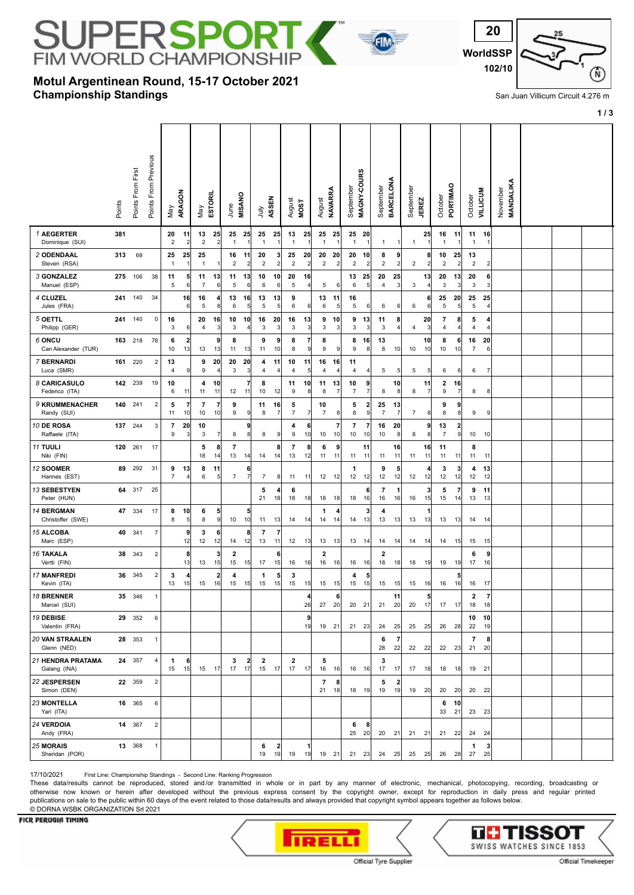# JPE 2SPC **IM WORL** D CHAMPION

## **Championship Standings Motul Argentinean Round, 15-17 October 2021**



San Juan Villicum Circuit 4.276 m

**1 / 3**

|                                        | Points | Points From First | Points From Previous    | Vay                  | ARAGON                        | Vay                  | ESTORIL              | June                          | <b>MISANO</b>                 | ήnη                  | ASSEN                        | August<br><b>MOST</b> |                      | August                        | <b>NAVARRA</b>       | Septembe                      | MAGNY-COURS                   | Septembe             | BARCELONA            | Septembe       | <b>JEREZ</b>         | October                       | PORTIMAO              | October                       | <b>AILTICOM</b>      | <b>MANDALIKA</b><br>November |  |  |
|----------------------------------------|--------|-------------------|-------------------------|----------------------|-------------------------------|----------------------|----------------------|-------------------------------|-------------------------------|----------------------|------------------------------|-----------------------|----------------------|-------------------------------|----------------------|-------------------------------|-------------------------------|----------------------|----------------------|----------------|----------------------|-------------------------------|-----------------------|-------------------------------|----------------------|------------------------------|--|--|
| 1 AEGERTER<br>Dominique (SUI)          | 381    |                   |                         | 20<br>$\overline{c}$ | 11<br>$\overline{2}$          | 13<br>$\mathbf 2$    | 25<br>$\overline{2}$ | 25<br>$\mathbf{1}$            | 25<br>$\overline{1}$          | 25<br>$\overline{1}$ | 25                           | 13<br>$\overline{1}$  | 25                   | 25<br>$\overline{1}$          | 25<br>$\mathbf{1}$   | 25<br>$\mathbf{1}$            | -20<br>$\mathbf{1}$           | 1                    | -1                   | -1             | 25<br>$\overline{1}$ | 16<br>$\overline{1}$          | 11<br>-1              | 11<br>$\mathbf{1}$            | 16                   |                              |  |  |
| 2 ODENDAAL<br>Steven (RSA)             | 313    | 68                |                         | 25<br>$\overline{1}$ | 25<br>$\mathbf{1}$            | 25<br>-1             |                      | 16<br>$\overline{2}$          | 11<br>$\overline{c}$          | 20<br>$\overline{c}$ | 3<br>$\overline{\mathbf{c}}$ | 25<br>$\overline{2}$  | 20<br>$\overline{2}$ | 20<br>$\sqrt{2}$              | 20<br>2              | 20<br>$\overline{\mathbf{c}}$ | 10<br>$\mathbf{2}$            | 8<br>$\overline{c}$  | 9<br>$\overline{c}$  | 2              | 8<br>$\overline{2}$  | 10<br>$\overline{\mathbf{c}}$ | 25<br>$\overline{2}$  | 13<br>$\overline{\mathbf{c}}$ | 2                    |                              |  |  |
| 3 GONZALEZ<br>Manuel (ESP)             |        | 275 106           | 38                      | 11<br>5              | 5<br>6                        | 11<br>$\overline{7}$ | 13<br>6              | 11<br>5                       | 13<br>6                       | 10<br>6              | 10<br>6                      | 20<br>5               | 16                   | 5                             | $6 \mid$             | 13<br>6                       | 25<br>5                       | 20<br>4              | 25<br>3              | 3              | 13 <br>4             | 20<br>3                       | 13<br>$\mathbf{3}$    | 20<br>3                       | 6<br>3               |                              |  |  |
| 4 CLUZEL<br>Jules (FRA)                | 241    | 140               | 34                      |                      | 16<br>6                       | 16<br>5              | 4<br>8               | 13<br>6                       | 16<br>$\overline{5}$          | 13<br>5              | 13<br>5 <sub>1</sub>         | 9<br>6                | 6                    | 13<br>6                       | 11<br>5              | 16<br>$\,$ 5 $\,$             | 6                             | 6                    | 6                    | 6              | 6<br>6               | 25<br>5                       | 20<br>$\overline{5}$  | 25<br>5                       | 25<br>4              |                              |  |  |
| 5 OETTL<br>Philipp (GER)               | 241    | 140               | 0                       | 16<br>3              | 6                             | 20<br>$\overline{4}$ | 16<br>3              | 10<br>3                       | 10<br>$\overline{4}$          | 16<br>3              | 20<br>3                      | 16<br>3               | 13<br>3              | 9<br>3                        | 10<br>$\mathbf{3}$   | 9<br>3                        | 13<br>$\mathbf{3}$            | 11<br>3              | 8<br>4               | 4              | 20<br>3              | 7<br>4                        | 8<br>$\overline{4}$   | 5<br>4                        |                      |                              |  |  |
| 6 ONCU<br>Can Alexander (TUR)          |        | 163 218           | 78                      | 6<br>10              | $\overline{\mathbf{2}}$<br>13 | 13                   | 9<br>13              | 8<br>11                       | 13                            | 9<br>11              | 9<br>10                      | 8<br>8                | 7<br>9               | 8<br>9                        | 9                    | 8<br>9                        | 16<br>8                       | 13<br>8              | 10                   | 10             | 10<br>10             | 8<br>10                       | 6<br>10               | 16<br>$\overline{7}$          | 20<br>6              |                              |  |  |
| 7 BERNARDI<br>Luca (SMR)               | 161    | 220               | $\overline{\mathbf{c}}$ | 13<br>4              | 9                             | 9<br>9               | 20<br>4              | 20<br>3                       | 20<br>$\mathbf{3}$            | 4<br>4               | 11<br>4                      | 10<br>4               | 11<br>5              | 16<br>$\overline{4}$          | 16<br>$\overline{4}$ | 11<br>4                       | $\vert$                       | 5                    | 5                    | 5              | 5 <sub>l</sub>       | 6                             | 6                     | 6                             | 7                    |                              |  |  |
| 8 CARICASULO<br>Federico (ITA)         |        | 142 239           | 19                      | 10<br>6              | 11                            | 4<br>11              | 10<br>11             | 12                            | $\overline{7}$<br>11          | 8<br>10              | 12                           | 11<br>9               | 10<br>8 <sup>2</sup> | 11<br>8                       | 13<br>7              | 10<br>$\overline{7}$          | 9<br>$\overline{7}$           | 8                    | 10<br>8              | 8              | 11<br>$\overline{7}$ | 2<br>9                        | 16<br>$\overline{7}$  | 8                             | 8                    |                              |  |  |
| 9 KRUMMENACHER<br>Randy (SUI)          |        | 140 241           | $\overline{\mathbf{c}}$ | 5<br>11              | $\overline{\mathbf{r}}$<br>10 | 7<br>10              | 7<br>10              | 9<br>9                        | 9                             | 11<br>8              | 16                           | 5<br>$\boldsymbol{7}$ |                      | 10<br>$\overline{7}$          | 8 <sup>1</sup>       | 5<br>8                        | $\mathbf{2}$<br>9             | 25<br>$\overline{7}$ | 13<br>$\overline{7}$ | $\overline{7}$ | 8                    | 9<br>8                        | 9<br>8                | 9                             | 9                    |                              |  |  |
| 10 DE ROSA<br>Raffaele (ITA)           | 137    | 244               | 3                       | $\overline{7}$<br>9  | 20<br>3                       | 10<br>3              | 7                    | 8                             | 9<br>8                        | 8                    | 9                            | 4<br>9                | 6<br>10              | 10                            | $\overline{7}$<br>10 | $\overline{7}$<br>10          | $\overline{\mathbf{r}}$<br>10 | 16<br>10             | 20<br>8              | 8              | 9<br>8 <sup>1</sup>  | 13<br>$\overline{7}$          | $\mathbf{2}$<br> 9    | 10                            | 10                   |                              |  |  |
| 11 TUULI<br>Niki (FIN)                 | 120    | 261               | 17                      |                      |                               | 5<br>18              | 8<br>14              | 7<br>13                       | 14                            | 14                   | 8<br>14                      | 7<br>13               | 8<br>12              | 6<br>11                       | 9<br>11              | 11                            | 11<br>11                      | 11                   | 16<br>11             | 11             | 16<br>11             | 11<br>11                      | 11                    | 8<br>11                       | 11                   |                              |  |  |
| 12 SOOMER<br>Hannes (EST)              | 89     | 292               | 31                      | 9<br>$\overline{7}$  | 13<br>4                       | 8<br>6               | 11<br>5              | $\boldsymbol{7}$              | 6<br>$\overline{7}$           | $\overline{7}$       | 8                            | 11                    | 11                   | 12                            | 12                   | 1<br>12                       | 12                            | 9<br>12              | 5<br>12              | 12             | 4<br>12              | 3<br>12                       | 3<br>12               | 4<br>12                       | 13<br>12             |                              |  |  |
| 13 SEBESTYEN<br>Peter (HUN)            | 64     | 317               | 25                      |                      |                               |                      |                      |                               |                               | 5<br>21              | 18                           | 6<br>18               | 18                   | 18                            | 18                   | 18                            | 6<br>16                       | $\overline{7}$<br>16 | 1<br>16              | 16             | 3<br>15              | 5<br>15                       | $\overline{7}$<br> 14 | 9<br>13                       | 11<br>13             |                              |  |  |
| <b>14 BERGMAN</b><br>Christoffer (SWE) | 47     | 334               | 17                      | 8<br>8               | 10<br>5                       | 6<br>8               | 5<br> 9              | 10                            | 5<br>10                       | 11                   | 13                           | 14                    | 14                   | -1<br>14                      | 4<br> 14             | 14                            | 3<br>13                       | 4<br>13              | 13                   | 13             | 13                   | 13                            | 13                    |                               | 14 14                |                              |  |  |
| 15 ALCOBA<br>Marc (ESP)                | 40     | 341               | $\overline{7}$          |                      | $\overline{\mathbf{9}}$<br>12 | 3<br>12              | 6<br>12              | 14                            | 8<br>12                       | 7<br>13              | 7<br>11                      | 12                    | 13                   | 13                            | 13                   | 13                            | 14                            | 14                   | 14                   | 14             | 14                   | 14                            | 15                    | 15                            | 15                   |                              |  |  |
| <b>16 TAKALA</b><br>Vertti (FIN)       | 38     | 343               | $\overline{2}$          |                      | 8<br>13                       | 13                   | 3<br>15              | $\overline{\mathbf{2}}$<br>15 | 15                            | 17                   | 6<br>15                      | 16                    | 16                   | $\overline{\mathbf{2}}$<br>16 | 16                   | 16                            | 16                            | 2<br>18              | 18                   | 18             | 19                   | 19                            | 19                    | 6<br>17                       | 9<br>16              |                              |  |  |
| <b>17 MANFREDI</b><br>Kevin (ITA)      | 36     | 345               | $\overline{c}$          | 3<br>13              | 4<br>15                       | 15                   | 2<br>16              | 4<br>15                       | 15                            | 1<br>15              | 5<br>15                      | 3<br>15               | 15                   | 15                            | 15                   | 4<br>15                       | 5<br>15                       | 15                   | 15                   | 15             | 16                   | 16                            | 16                    | 16                            | 17                   |                              |  |  |
| 18 BRENNER<br>Marcel (SUI)             | 35     | 346               | $\mathbf{1}$            |                      |                               |                      |                      |                               |                               |                      |                              |                       | Δ<br>26              | 27                            | 6<br>20              | 20                            | 21                            | 21                   | 11<br>20             | 20             | 5<br>17              | 17                            | 17                    | 2<br>18                       | $\overline{7}$<br>18 |                              |  |  |
| 19 DEBISE<br>Valentin (FRA)            |        | 29 352            | 6                       |                      |                               |                      |                      |                               |                               |                      |                              |                       | 9<br>19              | 19                            | 21                   |                               | $21 \quad 23$                 | 24                   | 25                   | $25$ 25        |                      | 26                            | 28                    | 10<br>22                      | 10<br>19             |                              |  |  |
| <b>20 VAN STRAALEN</b><br>Glenn (NED)  |        | 28 353            | $\mathbf{1}$            |                      |                               |                      |                      |                               |                               |                      |                              |                       |                      |                               |                      |                               |                               | 6<br>28              | 7<br>22              | 22             | 22                   | 22                            | 23                    | 7<br>21                       | 8<br>20              |                              |  |  |
| 21 HENDRA PRATAMA<br>Galang (INA)      |        | 24 357            | 4                       | $\mathbf 1$<br>15    | 6<br>15                       | 15                   | 17                   | 3<br>17                       | $\overline{\mathbf{c}}$<br>17 | $\mathbf{2}$<br>15   | 17                           | $\mathbf{2}$<br>17    | 17                   | 5<br>16                       | 16                   |                               | $16 \quad 16$                 | 3<br>17              | 17                   | 17             | 18                   | 18                            | 18                    | 19                            | 21                   |                              |  |  |
| 22 JESPERSEN<br>Simon (DEN)            |        | 22 359            | $\overline{2}$          |                      |                               |                      |                      |                               |                               |                      |                              |                       |                      | $\overline{7}$<br>21          | 8<br>18              |                               | $18$ 19                       | 5<br>19              | $\overline{2}$<br>19 | 19             | 20                   | 20                            | 20                    | 20                            | 22                   |                              |  |  |
| 23 MONTELLA<br>Yari (ITA)              |        | 16 365            | 6                       |                      |                               |                      |                      |                               |                               |                      |                              |                       |                      |                               |                      |                               |                               |                      |                      |                |                      | 6<br>33                       | 10<br>21              | 23 23                         |                      |                              |  |  |
| 24 VERDOIA<br>Andy (FRA)               |        | 14 367            | $\overline{2}$          |                      |                               |                      |                      |                               |                               |                      |                              |                       |                      |                               |                      | 6<br>25                       | 8<br>20 <sub>l</sub>          | 20                   | 21                   | $21 \quad 21$  |                      | 21                            | 22                    | 24                            | 24                   |                              |  |  |
| <b>25 MORAIS</b><br>Sheridan (POR)     |        | 13 368            | $\mathbf{1}$            |                      |                               |                      |                      |                               |                               | 6<br>19              | 2<br>19                      | 19                    | 19                   | $19$ 21                       |                      |                               | 21 23                         |                      | 24 25                | $25$ 25        |                      | 26                            | 28                    | 1<br>27                       | 3<br>25              |                              |  |  |

17/10/2021 First Line: Championship Standings - Second Line: Ranking Progression

These data/results cannot be reproduced, stored and/or transmitted in whole or in part by any manner of electronic, mechanical, photocopying, recording, broadcasting or otherwise now known or herein after developed without the previous express consent by the copyright owner, except for reproduction in daily press and regular printed publications on sale to the public within 60 days of the event related to those data/results and always provided that copyright symbol appears together as follows below. © DORNA WSBK ORGANIZATION Srl 2021

### FICR PERUGIA TIMING



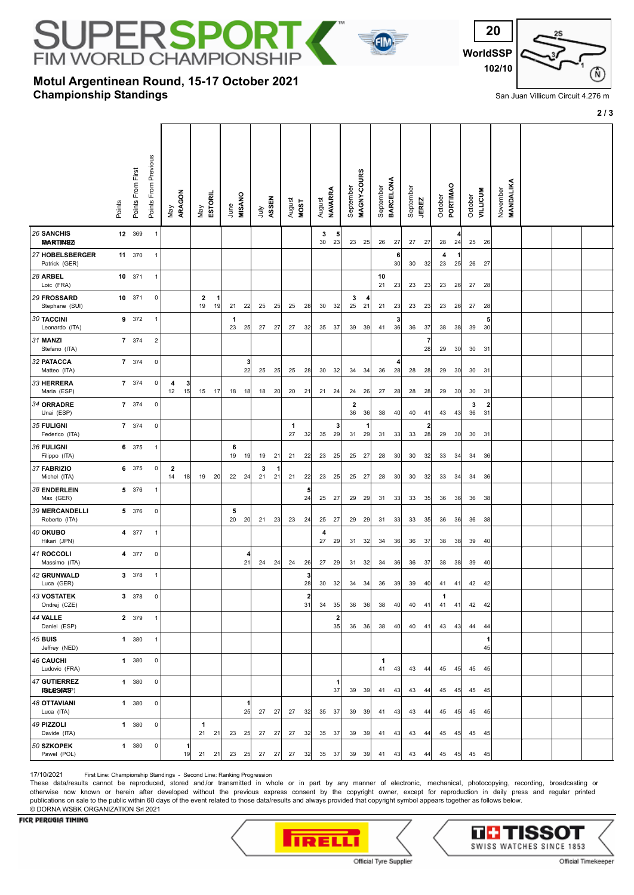# **JPERSPO IM WORLD CHAMPIONS**

# **Championship Standings Motul Argentinean Round, 15-17 October 2021**



San Juan Villicum Circuit 4.276 m

**2 / 3**

|                                           | Points | Points From First | Points From Previous | ARAGON<br>Vay                 |         | Vay                  | <b>ESTORIL</b> | <b>MISANO</b><br>June |         | ληλ     | ASSEN | August             | <b>MOST</b>        | August        | NAVARRA                       | September            | MAGNY-COURS   | September | BARCELONA            | September<br><b>JEREZ</b> |                      | PORTIMAO<br>October | October       | <b>VILLICUM</b>                          | November<br>MANDALIKA |  |  |
|-------------------------------------------|--------|-------------------|----------------------|-------------------------------|---------|----------------------|----------------|-----------------------|---------|---------|-------|--------------------|--------------------|---------------|-------------------------------|----------------------|---------------|-----------|----------------------|---------------------------|----------------------|---------------------|---------------|------------------------------------------|-----------------------|--|--|
| 26 SANCHIS<br><b>MARTINEZ</b>             |        | 12 369            | $\overline{1}$       |                               |         |                      |                |                       |         |         |       |                    |                    | 3<br>30       | 5<br>23                       |                      | $23 \quad 25$ | 26        | 27                   | 27                        | 27                   | 28                  | 24            | 25<br>26                                 |                       |  |  |
| 27 HOBELSBERGER<br>Patrick (GER)          |        | 11 370            | $\mathbf{1}$         |                               |         |                      |                |                       |         |         |       |                    |                    |               |                               |                      |               |           | 6<br>30 <sub>1</sub> | 30                        | 32                   | 4<br>23             | $\vert$<br>25 | 26<br>27                                 |                       |  |  |
| 28 ARBEL<br>Loic (FRA)                    |        | 10 371            | $\mathbf{1}$         |                               |         |                      |                |                       |         |         |       |                    |                    |               |                               |                      |               | 10<br>21  | 23                   | 23                        | 23                   | 26<br>23            |               | 27<br>28                                 |                       |  |  |
| 29 FROSSARD<br>Stephane (SUI)             |        | 10 371            | $\mathbf 0$          |                               |         | $\overline{2}$<br>19 | 19             | 21                    | 22      | 25      | 25    | 25                 | 28                 |               | 30 32                         | 3<br>25              | 4<br>21       | 21        | 23                   | $23$ 23                   |                      | 23                  | 26            | 27<br>28                                 |                       |  |  |
| <b>30 TACCINI</b><br>Leonardo (ITA)       |        | 9 372             | $\mathbf{1}$         |                               |         |                      |                | 1<br>23               | 25      | 27      | 27    | 27                 | 32                 | 35            | 37                            | 39                   | 39            | 41        | 3<br>36              | 36                        | 37                   | 38                  | 38            | 5<br>39<br>30                            |                       |  |  |
| 31 MANZI<br>Stefano (ITA)                 |        | 7 374             | $\overline{2}$       |                               |         |                      |                |                       |         |         |       |                    |                    |               |                               |                      |               |           |                      |                           | $\overline{7}$<br>28 | 29                  | 30            | 30<br>31                                 |                       |  |  |
| 32 PATACCA<br>Matteo (ITA)                |        | 7 374             | $\mathbf 0$          |                               |         |                      |                |                       | 3<br>22 | 25      | 25    | 25                 | 28                 |               | 30 32                         |                      | $34 \quad 34$ | 36 28     |                      | 28 28                     |                      | 29 30               |               | 30 31                                    |                       |  |  |
| 33 HERRERA<br>Maria (ESP)                 |        | 7 374             | $\pmb{0}$            | 4<br>12                       | 3<br>15 | 15                   | 17             | 18                    | 18      | 18      | 20    | 20                 | 21                 | 21 24         |                               | 24                   | 26            | 27        | 28                   | 28                        | 28                   | 29                  | 30            | 30<br>31                                 |                       |  |  |
| 34 ORRADRE<br>Unai (ESP)                  |        | 7 374             | $\pmb{0}$            |                               |         |                      |                |                       |         |         |       |                    |                    |               |                               | $\overline{2}$<br>36 | 36            | 38        | 40                   | 40                        | 41                   | 43                  | 43            | 3<br>$\overline{\mathbf{c}}$<br>36<br>31 |                       |  |  |
| 35 FULIGNI<br>Federico (ITA)              |        | 7 374             | $\mathbf 0$          |                               |         |                      |                |                       |         |         |       | $\mathbf{1}$<br>27 | 32                 | 35            | 3<br>29                       |                      | $31 \quad 29$ | 31 33     |                      | 33                        | $\overline{2}$<br>28 | 29 30               |               | 30<br>31                                 |                       |  |  |
| 36 FULIGNI<br>Filippo (ITA)               |        | 6 375             | $\mathbf{1}$         |                               |         |                      |                | 6<br>19               | 19      | 19      | 21    | 21                 | 22                 | 23            | 25                            | 25                   | 27            | 28        | 30                   | 30                        | 32                   | 33                  | 34            | 34<br>36                                 |                       |  |  |
| 37 FABRIZIO<br>Michel (ITA)               |        | 6 375             | $\mathbf 0$          | $\overline{\mathbf{2}}$<br>14 | 18      | 19                   | 20             | 22 24                 |         | 3<br>21 | 21    | 21                 | 22                 | 23            | 25                            |                      | 25 27         | 28        | 30                   | 30                        | 32                   | 33                  | 34            | 34<br>36                                 |                       |  |  |
| 38 ENDERLEIN<br>Max (GER)                 |        | 5 376             | $\mathbf{1}$         |                               |         |                      |                |                       |         |         |       |                    | 24                 | 25 27         |                               |                      | 29 29         | 31 33     |                      | $33 \quad 35$             |                      | 36<br>36            |               | 38<br>36                                 |                       |  |  |
| <b>39 MERCANDELLI</b><br>Roberto (ITA)    |        | 5 376             | $\pmb{0}$            |                               |         |                      |                | 5<br>20               | 20      | 21      | 23    | 23                 | 24                 | 25            | 27                            | 29                   | 29            | 31        | 33                   | 33                        | 35                   | 36                  | 36            | 36<br>38                                 |                       |  |  |
| 40 OKUBO<br>Hikari (JPN)                  |        | 4 377             | $\mathbf{1}$         |                               |         |                      |                |                       |         |         |       |                    |                    | 4<br>27       | 29                            |                      | $31 \quad 32$ | 34        | 36                   | 36                        | 37                   | 38                  | 38            | 39<br>40                                 |                       |  |  |
| 41 ROCCOLI<br>Massimo (ITA)               |        | 4 377             | $\pmb{0}$            |                               |         |                      |                |                       | 21      |         | 24 24 | 24                 | 26                 | 27            | 29                            |                      | $31 \quad 32$ | 34        | 36                   | 36                        | 37                   | 38                  | -38           | 39<br>40                                 |                       |  |  |
| <b>42 GRUNWALD</b><br>Luca (GER)          |        | 3 378             | $\mathbf{1}$         |                               |         |                      |                |                       |         |         |       |                    | 3<br>28            | 30            | 32                            | 34                   | 34            | 36        | 39                   | 39                        | 40                   | 41                  | 41            | 42<br>42                                 |                       |  |  |
| <b>43 VOSTATEK</b><br>Ondrej (CZE)        |        | 3 378             | $\pmb{0}$            |                               |         |                      |                |                       |         |         |       |                    | $\mathbf{2}$<br>31 | 34            | 35                            | 36                   | 36            | 38        | 40                   | 40                        | 41                   | 1<br>41<br>41       |               | 42<br>42                                 |                       |  |  |
| 44 VALLE<br>Daniel (ESP)                  |        | 2 379             | $\mathbf{1}$         |                               |         |                      |                |                       |         |         |       |                    |                    |               | $\overline{\mathbf{2}}$<br>35 |                      | 36 36         | 38        | 40                   | 40 41                     |                      | 43                  | 43            | 44<br>44                                 |                       |  |  |
| <b>45 BUIS</b><br>Jeffrey (NED)           |        | 1 380             | $\mathbf{1}$         |                               |         |                      |                |                       |         |         |       |                    |                    |               |                               |                      |               |           |                      |                           |                      |                     |               | 1<br>45                                  |                       |  |  |
| <b>46 CAUCHI</b><br>Ludovic (FRA)         |        | 1 380             | $\mathbf 0$          |                               |         |                      |                |                       |         |         |       |                    |                    |               |                               |                      |               | 1<br>41   | 43                   | 43 44                     |                      | 45 45               |               | 45 45                                    |                       |  |  |
| <b>47 GUTIERREZ</b><br><b>(GEES PASP)</b> |        | 1 380             | $\pmb{0}$            |                               |         |                      |                |                       |         |         |       |                    |                    |               | 1<br>37                       |                      | 39 39         | 41        | 43                   | 43 44                     |                      | 45                  | 45            | 45 45                                    |                       |  |  |
| <b>48 OTTAVIANI</b><br>Luca (ITA)         |        | 1 380             | $\mathbf 0$          |                               |         |                      |                |                       | 1<br>25 | 27      | 27    | 27                 | 32                 | 35            | 37                            |                      | 39 39         | 41        | 43                   | 43 44                     |                      | 45                  | 45            | 45 45                                    |                       |  |  |
| 49 PIZZOLI<br>Davide (ITA)                |        | 1 380             | $\mathbf 0$          |                               |         | 1<br>21 21           |                | 23                    | 25      | 27      | 27    | 27                 | 32                 | 35            | 37                            |                      | 39 39         | 41 43     |                      | 43 44                     |                      | 45 45               |               | 45 45                                    |                       |  |  |
| 50 SZKOPEK<br>Pawel (POL)                 |        | 1 380             | $\pmb{0}$            |                               | 1<br>19 | 21                   | 21             | 23                    | 25      | 27      | 27    | 27                 | 32                 | $35 \quad 37$ |                               |                      | $39 \quad 39$ | 41        | 43                   | 43 44                     |                      | 45                  | 45            | 45 45                                    |                       |  |  |

17/10/2021 First Line: Championship Standings - Second Line: Ranking Progression

These data/results cannot be reproduced, stored and/or transmitted in whole or in part by any manner of electronic, mechanical, photocopying, recording, broadcasting or otherwise now known or herein after developed without the previous express consent by the copyright owner, except for reproduction in daily press and regular printed publications on sale to the public within 60 days of the event related to those data/results and always provided that copyright symbol appears together as follows below. © DORNA WSBK ORGANIZATION Srl 2021

### FICR PERUGIA TIMING